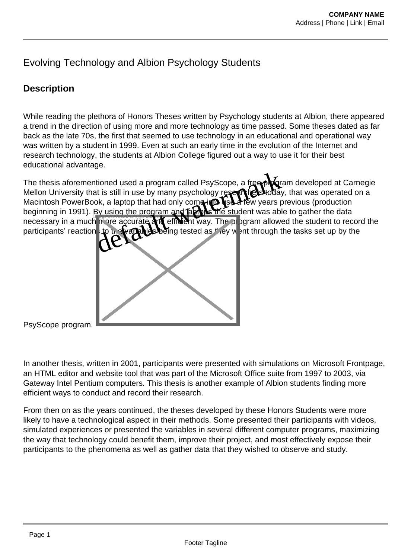## Evolving Technology and Albion Psychology Students

## **Description**

While reading the plethora of Honors Theses written by Psychology students at Albion, there appeared a trend in the direction of using more and more technology as time passed. Some theses dated as far back as the late 70s, the first that seemed to use technology in an educational and operational way was written by a student in 1999. Even at such an early time in the evolution of the Internet and research technology, the students at Albion College figured out a way to use it for their best educational advantage.

The thesis aforementioned used a program called PsyScope, a free program developed at Carnegie Mellon University that is still in use by many psychology restal that was in that was operated on a Macintosh PowerBook, a laptop that had only come into use a few years previous (production beginning in 1991). By using the program and **buttob the student was able to gather the data** necessary in a much more accurate and efficient way. The program allowed the student to record the participants' reaction to the variables being tested as they went through the tasks set up by the ge.<br>
at is still in use by many psychology restablished water is still in use by many psychology restablished<br>
ok, a laptop that had only come in the student was able to<br>
By using the program and putch the student was able



PsyScope program.

In another thesis, written in 2001, participants were presented with simulations on Microsoft Frontpage, an HTML editor and website tool that was part of the Microsoft Office suite from 1997 to 2003, via Gateway Intel Pentium computers. This thesis is another example of Albion students finding more efficient ways to conduct and record their research.

From then on as the years continued, the theses developed by these Honors Students were more likely to have a technological aspect in their methods. Some presented their participants with videos, simulated experiences or presented the variables in several different computer programs, maximizing the way that technology could benefit them, improve their project, and most effectively expose their participants to the phenomena as well as gather data that they wished to observe and study.